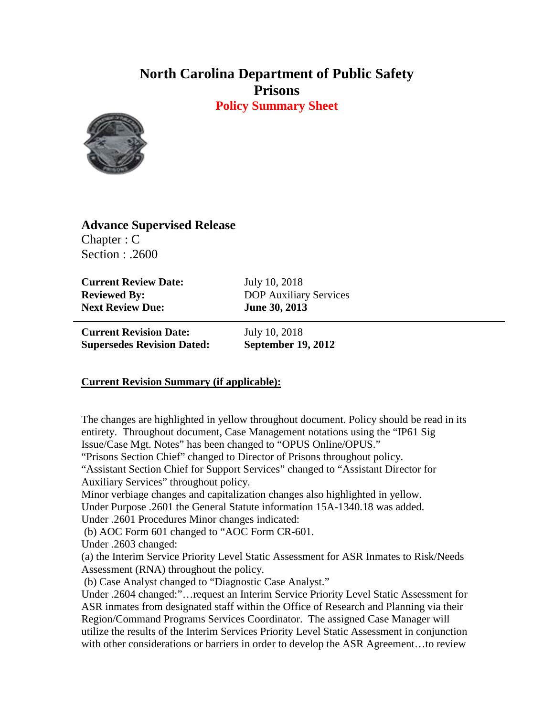## **North Carolina Department of Public Safety Prisons**

**Policy Summary Sheet**



**Advance Supervised Release** Chapter : C Section : .2600

**Current Review Date:** July 10, 2018 **Next Review Due: June 30, 2013**

**Reviewed By:** DOP Auxiliary Services

**Current Revision Date:** July 10, 2018 **Supersedes Revision Dated: September 19, 2012**

## **Current Revision Summary (if applicable):**

The changes are highlighted in yellow throughout document. Policy should be read in its entirety. Throughout document, Case Management notations using the "IP61 Sig Issue/Case Mgt. Notes" has been changed to "OPUS Online/OPUS."

"Prisons Section Chief" changed to Director of Prisons throughout policy.

"Assistant Section Chief for Support Services" changed to "Assistant Director for Auxiliary Services" throughout policy.

Minor verbiage changes and capitalization changes also highlighted in yellow.

Under Purpose .2601 the General Statute information 15A-1340.18 was added.

Under .2601 Procedures Minor changes indicated:

(b) AOC Form 601 changed to "AOC Form CR-601.

Under .2603 changed:

(a) the Interim Service Priority Level Static Assessment for ASR Inmates to Risk/Needs Assessment (RNA) throughout the policy.

(b) Case Analyst changed to "Diagnostic Case Analyst."

Under .2604 changed:"…request an Interim Service Priority Level Static Assessment for ASR inmates from designated staff within the Office of Research and Planning via their Region/Command Programs Services Coordinator. The assigned Case Manager will utilize the results of the Interim Services Priority Level Static Assessment in conjunction with other considerations or barriers in order to develop the ASR Agreement…to review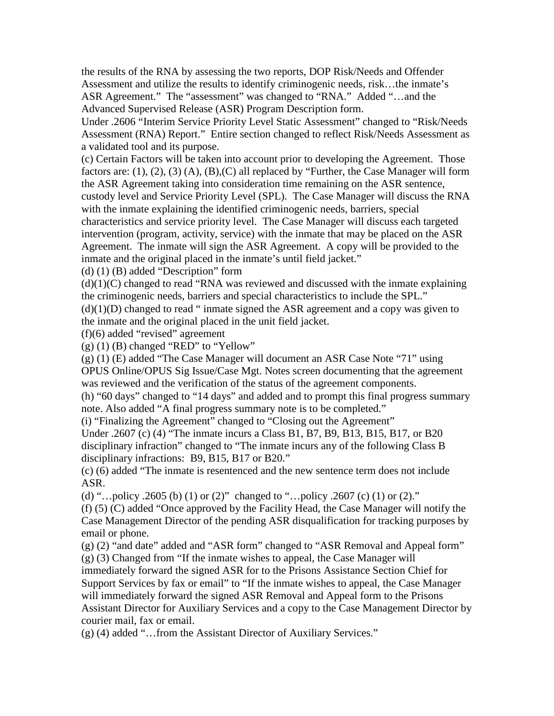the results of the RNA by assessing the two reports, DOP Risk/Needs and Offender Assessment and utilize the results to identify criminogenic needs, risk…the inmate's ASR Agreement." The "assessment" was changed to "RNA." Added "…and the Advanced Supervised Release (ASR) Program Description form.

Under .2606 "Interim Service Priority Level Static Assessment" changed to "Risk/Needs Assessment (RNA) Report." Entire section changed to reflect Risk/Needs Assessment as a validated tool and its purpose.

(c) Certain Factors will be taken into account prior to developing the Agreement. Those factors are: (1), (2), (3) (A), (B), (C) all replaced by "Further, the Case Manager will form the ASR Agreement taking into consideration time remaining on the ASR sentence, custody level and Service Priority Level (SPL). The Case Manager will discuss the RNA with the inmate explaining the identified criminogenic needs, barriers, special characteristics and service priority level. The Case Manager will discuss each targeted intervention (program, activity, service) with the inmate that may be placed on the ASR Agreement. The inmate will sign the ASR Agreement. A copy will be provided to the inmate and the original placed in the inmate's until field jacket."

(d) (1) (B) added "Description" form

 $(d)(1)(C)$  changed to read "RNA was reviewed and discussed with the inmate explaining the criminogenic needs, barriers and special characteristics to include the SPL."  $(d)(1)(D)$  changed to read " inmate signed the ASR agreement and a copy was given to the inmate and the original placed in the unit field jacket.

(f)(6) added "revised" agreement

 $(g)$  (1) (B) changed "RED" to "Yellow"

(g) (1) (E) added "The Case Manager will document an ASR Case Note "71" using OPUS Online/OPUS Sig Issue/Case Mgt. Notes screen documenting that the agreement was reviewed and the verification of the status of the agreement components.

(h) "60 days" changed to "14 days" and added and to prompt this final progress summary note. Also added "A final progress summary note is to be completed."

(i) "Finalizing the Agreement" changed to "Closing out the Agreement"

Under .2607 (c) (4) "The inmate incurs a Class B1, B7, B9, B13, B15, B17, or B20 disciplinary infraction" changed to "The inmate incurs any of the following Class B disciplinary infractions: B9, B15, B17 or B20."

(c) (6) added "The inmate is resentenced and the new sentence term does not include ASR.

(d) "…policy .2605 (b) (1) or (2)" changed to "…policy .2607 (c) (1) or (2)."

(f) (5) (C) added "Once approved by the Facility Head, the Case Manager will notify the Case Management Director of the pending ASR disqualification for tracking purposes by email or phone.

 $(g)$  (2) "and date" added and "ASR form" changed to "ASR Removal and Appeal form" (g) (3) Changed from "If the inmate wishes to appeal, the Case Manager will

immediately forward the signed ASR for to the Prisons Assistance Section Chief for Support Services by fax or email" to "If the inmate wishes to appeal, the Case Manager will immediately forward the signed ASR Removal and Appeal form to the Prisons Assistant Director for Auxiliary Services and a copy to the Case Management Director by courier mail, fax or email.

(g) (4) added "…from the Assistant Director of Auxiliary Services."